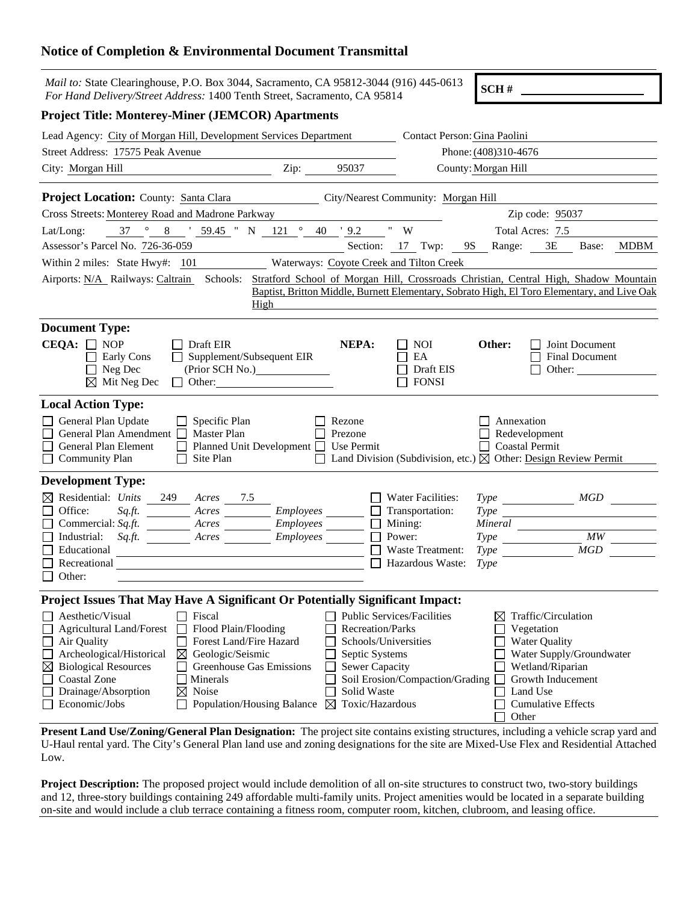## **Notice of Completion & Environmental Document Transmittal**

| <i>Mail to:</i> State Clearinghouse, P.O. Box 3044, Sacramento, CA 95812-3044 (916) 445-0613<br>For Hand Delivery/Street Address: 1400 Tenth Street, Sacramento, CA 95814                                                                                                                                                                                                                                     |           |                                                                                                                               |                                                                                                                 | SCH#                                                     |                                                                                                                                                                         |                |
|---------------------------------------------------------------------------------------------------------------------------------------------------------------------------------------------------------------------------------------------------------------------------------------------------------------------------------------------------------------------------------------------------------------|-----------|-------------------------------------------------------------------------------------------------------------------------------|-----------------------------------------------------------------------------------------------------------------|----------------------------------------------------------|-------------------------------------------------------------------------------------------------------------------------------------------------------------------------|----------------|
| <b>Project Title: Monterey-Miner (JEMCOR) Apartments</b>                                                                                                                                                                                                                                                                                                                                                      |           |                                                                                                                               |                                                                                                                 |                                                          |                                                                                                                                                                         |                |
| Lead Agency: City of Morgan Hill, Development Services Department                                                                                                                                                                                                                                                                                                                                             |           |                                                                                                                               | Contact Person: Gina Paolini                                                                                    |                                                          |                                                                                                                                                                         |                |
| Street Address: 17575 Peak Avenue                                                                                                                                                                                                                                                                                                                                                                             |           |                                                                                                                               | Phone: (408)310-4676                                                                                            |                                                          |                                                                                                                                                                         |                |
| City: Morgan Hill                                                                                                                                                                                                                                                                                                                                                                                             | Zip:      | 95037                                                                                                                         |                                                                                                                 | County: Morgan Hill                                      |                                                                                                                                                                         |                |
| Project Location: County: Santa Clara City/Nearest Community: Morgan Hill                                                                                                                                                                                                                                                                                                                                     |           |                                                                                                                               |                                                                                                                 |                                                          |                                                                                                                                                                         |                |
| Cross Streets: Monterey Road and Madrone Parkway                                                                                                                                                                                                                                                                                                                                                              |           |                                                                                                                               |                                                                                                                 |                                                          | Zip code: 95037                                                                                                                                                         |                |
| $\frac{\circ}{\circ}$ 8 $\frac{\circ}{\circ}$ 59.45 " N 121 $\circ$ 40 $\frac{\circ}{\circ}$ 9.2 " W<br>37<br>Lat/Long:                                                                                                                                                                                                                                                                                       |           |                                                                                                                               |                                                                                                                 |                                                          | Total Acres: 7.5                                                                                                                                                        |                |
| Assessor's Parcel No. 726-36-059                                                                                                                                                                                                                                                                                                                                                                              |           |                                                                                                                               |                                                                                                                 |                                                          | Section: 17 Twp: 9S Range: 3E Base:                                                                                                                                     | MDBM           |
| Within 2 miles: State Hwy#: 101                                                                                                                                                                                                                                                                                                                                                                               |           |                                                                                                                               | Waterways: Coyote Creek and Tilton Creek                                                                        |                                                          |                                                                                                                                                                         |                |
| Airports: N/A_Railways: Caltrain Schools: Stratford School of Morgan Hill, Crossroads Christian, Central High, Shadow Mountain<br>High                                                                                                                                                                                                                                                                        |           |                                                                                                                               |                                                                                                                 |                                                          | Baptist, Britton Middle, Burnett Elementary, Sobrato High, El Toro Elementary, and Live Oak                                                                             |                |
| <b>Document Type:</b>                                                                                                                                                                                                                                                                                                                                                                                         |           |                                                                                                                               |                                                                                                                 |                                                          |                                                                                                                                                                         |                |
| $CEQA: \Box$ NOP<br>$\Box$ Draft EIR<br>$\Box$ Supplement/Subsequent EIR<br>$\Box$ Early Cons<br>$\Box$ Neg Dec<br>$\boxtimes$ Mit Neg Dec<br>$\Box$ Other:                                                                                                                                                                                                                                                   |           | NEPA:                                                                                                                         | <b>NOI</b><br>EA<br>Draft EIS<br><b>FONSI</b>                                                                   | Other:                                                   | Joint Document<br><b>Final Document</b><br>Other:                                                                                                                       |                |
| <b>Local Action Type:</b><br>General Plan Update<br>$\Box$ Specific Plan<br>General Plan Amendment $\Box$<br><b>Master Plan</b><br>General Plan Element<br>Planned Unit Development □<br>Site Plan<br>$\Box$ Community Plan                                                                                                                                                                                   |           | Rezone<br>Prezone<br>Use Permit                                                                                               |                                                                                                                 | Annexation<br>Redevelopment<br><b>Coastal Permit</b>     | Land Division (Subdivision, etc.) $\boxtimes$ Other: Design Review Permit                                                                                               |                |
| <b>Development Type:</b>                                                                                                                                                                                                                                                                                                                                                                                      |           |                                                                                                                               |                                                                                                                 |                                                          |                                                                                                                                                                         |                |
| $\boxtimes$ Residential: Units<br>249<br>Acres<br>7.5<br>Office:<br>Acres Employees<br>Commercial: $Sq.ft$ .<br>Industrial:<br>Sq.ft.<br>Arcres<br>Educational<br>Recreational<br>Other:                                                                                                                                                                                                                      | Employees | $\mathsf{L}$                                                                                                                  | <b>Water Facilities:</b><br>Transportation:<br>Mining:<br>Power:<br><b>Waste Treatment:</b><br>Hazardous Waste: | <i>Type</i><br>$Type \_\_$<br><i>Type</i><br><b>Type</b> | Type MGD<br>MGD                                                                                                                                                         | $\frac{1}{MW}$ |
| Project Issues That May Have A Significant Or Potentially Significant Impact:                                                                                                                                                                                                                                                                                                                                 |           |                                                                                                                               |                                                                                                                 |                                                          |                                                                                                                                                                         |                |
| $\Box$ Fiscal<br>Aesthetic/Visual<br><b>Agricultural Land/Forest</b><br>Flood Plain/Flooding<br>Air Quality<br><b>Forest Land/Fire Hazard</b><br>Archeological/Historical<br>Geologic/Seismic<br>⊠<br><b>Biological Resources</b><br>Greenhouse Gas Emissions<br>$\boxtimes$<br><b>Coastal Zone</b><br>Minerals<br>Drainage/Absorption<br>Noise<br>$\boxtimes$<br>Economic/Jobs<br>Population/Housing Balance |           | Recreation/Parks<br>Schools/Universities<br>Septic Systems<br>Sewer Capacity<br>Solid Waste<br>Toxic/Hazardous<br>$\boxtimes$ | <b>Public Services/Facilities</b><br>Soil Erosion/Compaction/Grading                                            | ⊠<br>Other                                               | Traffic/Circulation<br>Vegetation<br><b>Water Quality</b><br>Water Supply/Groundwater<br>Wetland/Riparian<br>Growth Inducement<br>Land Use<br><b>Cumulative Effects</b> |                |

**Present Land Use/Zoning/General Plan Designation:** The project site contains existing structures, including a vehicle scrap yard and U-Haul rental yard. The City's General Plan land use and zoning designations for the site are Mixed-Use Flex and Residential Attached Low.

**Project Description:** The proposed project would include demolition of all on-site structures to construct two, two-story buildings and 12, three-story buildings containing 249 affordable multi-family units. Project amenities would be located in a separate building on-site and would include a club terrace containing a fitness room, computer room, kitchen, clubroom, and leasing office.